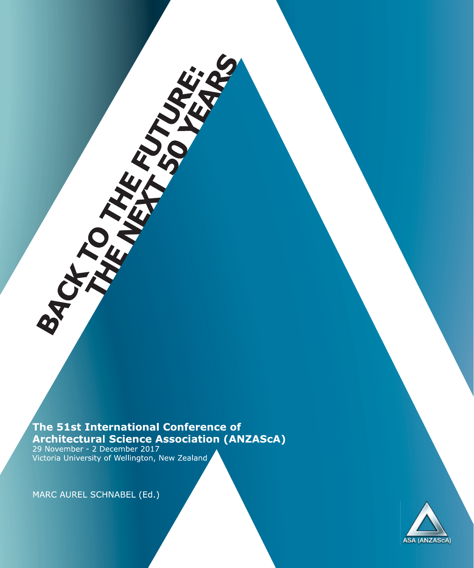The 51st International Conference of Architectural Science Association (ANZAScA)<br>29 November - 2 December 2017<br>Victoria University of Wellington, New Zealand

MARC AUREL SCHNABEL (Ed.)

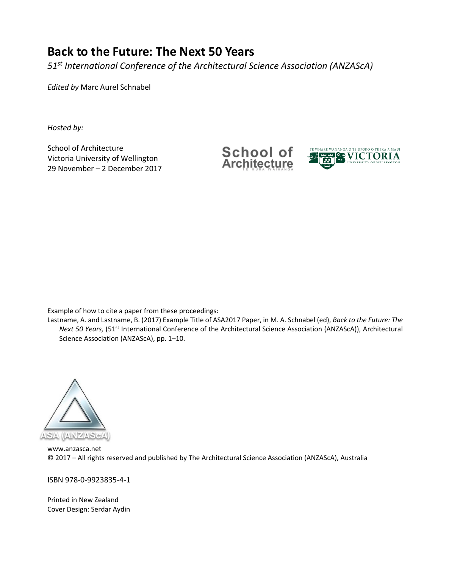# **Back to the Future: The Next 50 Years**

*51st International Conference of the Architectural Science Association (ANZAScA)*

*Edited by* Marc Aurel Schnabel

*Hosted by:* 

School of Architecture Victoria University of Wellington 29 November – 2 December 2017 School of **Architecture** 



Example of how to cite a paper from these proceedings:

Lastname, A. and Lastname, B. (2017) Example Title of ASA2017 Paper, in M. A. Schnabel (ed), *Back to the Future: The Next 50 Years,* (51st International Conference of the Architectural Science Association (ANZAScA)), Architectural Science Association (ANZAScA), pp. 1–10.



[www.anzasca.net](http://www.anzasca.net)  © 2017 – All rights reserved and published by The Architectural Science Association (ANZAScA), Australia

ISBN 978‐0‐9923835‐4‐1

Printed in New Zealand Cover Design: Serdar Aydin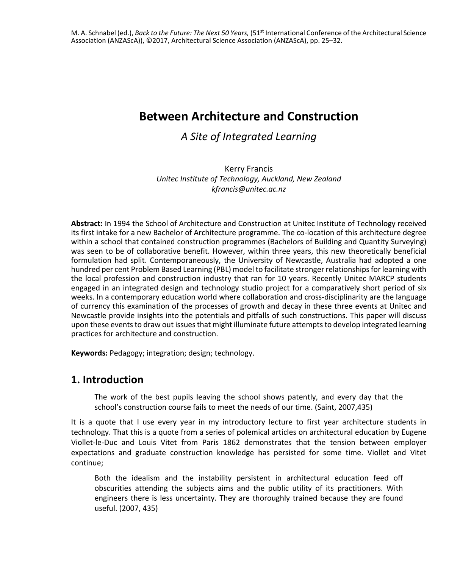# **Between Architecture and Construction**

## *A Site of Integrated Learning*

Kerry Francis *Unitec Institute of Technology, Auckland, New Zealand [kfrancis@unitec.ac.nz](mailto:kfrancis@unitec.ac.nz)* 

**Abstract:** In 1994 the School of Architecture and Construction at Unitec Institute of Technology received its first intake for a new Bachelor of Architecture programme. The co-location of this architecture degree within a school that contained construction programmes (Bachelors of Building and Quantity Surveying) was seen to be of collaborative benefit. However, within three years, this new theoretically beneficial formulation had split. Contemporaneously, the University of Newcastle, Australia had adopted a one hundred per cent Problem Based Learning (PBL) model to facilitate stronger relationships for learning with the local profession and construction industry that ran for 10 years. Recently Unitec MARCP students engaged in an integrated design and technology studio project for a comparatively short period of six weeks. In a contemporary education world where collaboration and cross-disciplinarity are the language of currency this examination of the processes of growth and decay in these three events at Unitec and Newcastle provide insights into the potentials and pitfalls of such constructions. This paper will discuss upon these events to draw out issues that might illuminate future attempts to develop integrated learning practices for architecture and construction.

**Keywords:** Pedagogy; integration; design; technology.

### **1. Introduction**

The work of the best pupils leaving the school shows patently, and every day that the school's construction course fails to meet the needs of our time. (Saint, 2007,435)

It is a quote that I use every year in my introductory lecture to first year architecture students in technology. That this is a quote from a series of polemical articles on architectural education by Eugene Viollet‐le‐Duc and Louis Vitet from Paris 1862 demonstrates that the tension between employer expectations and graduate construction knowledge has persisted for some time. Viollet and Vitet continue;

Both the idealism and the instability persistent in architectural education feed off obscurities attending the subjects aims and the public utility of its practitioners. With engineers there is less uncertainty. They are thoroughly trained because they are found useful. (2007, 435)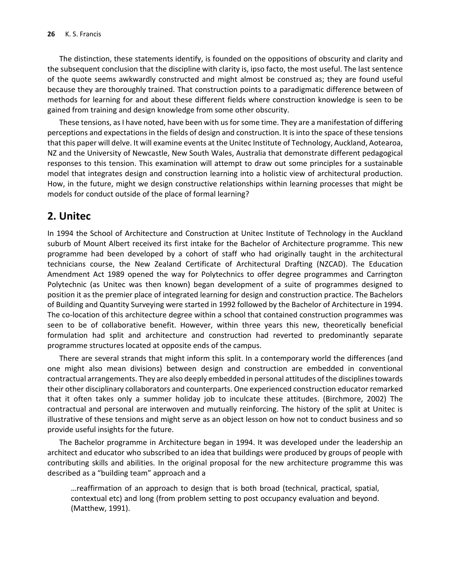The distinction, these statements identify, is founded on the oppositions of obscurity and clarity and the subsequent conclusion that the discipline with clarity is, ipso facto, the most useful. The last sentence of the quote seems awkwardly constructed and might almost be construed as; they are found useful because they are thoroughly trained. That construction points to a paradigmatic difference between of methods for learning for and about these different fields where construction knowledge is seen to be gained from training and design knowledge from some other obscurity.

These tensions, as I have noted, have been with us for some time. They are a manifestation of differing perceptions and expectations in the fields of design and construction. It is into the space of these tensions that this paper will delve. It will examine events at the Unitec Institute of Technology, Auckland, Aotearoa, NZ and the University of Newcastle, New South Wales, Australia that demonstrate different pedagogical responses to this tension. This examination will attempt to draw out some principles for a sustainable model that integrates design and construction learning into a holistic view of architectural production. How, in the future, might we design constructive relationships within learning processes that might be models for conduct outside of the place of formal learning?

### **2. Unitec**

In 1994 the School of Architecture and Construction at Unitec Institute of Technology in the Auckland suburb of Mount Albert received its first intake for the Bachelor of Architecture programme. This new programme had been developed by a cohort of staff who had originally taught in the architectural technicians course, the New Zealand Certificate of Architectural Drafting (NZCAD). The Education Amendment Act 1989 opened the way for Polytechnics to offer degree programmes and Carrington Polytechnic (as Unitec was then known) began development of a suite of programmes designed to position it as the premier place of integrated learning for design and construction practice. The Bachelors of Building and Quantity Surveying were started in 1992 followed by the Bachelor of Architecture in 1994. The co‐location of this architecture degree within a school that contained construction programmes was seen to be of collaborative benefit. However, within three years this new, theoretically beneficial formulation had split and architecture and construction had reverted to predominantly separate programme structures located at opposite ends of the campus.

There are several strands that might inform this split. In a contemporary world the differences (and one might also mean divisions) between design and construction are embedded in conventional contractual arrangements. They are also deeply embedded in personal attitudes of the disciplines towards their other disciplinary collaborators and counterparts. One experienced construction educator remarked that it often takes only a summer holiday job to inculcate these attitudes. (Birchmore, 2002) The contractual and personal are interwoven and mutually reinforcing. The history of the split at Unitec is illustrative of these tensions and might serve as an object lesson on how not to conduct business and so provide useful insights for the future.

The Bachelor programme in Architecture began in 1994. It was developed under the leadership an architect and educator who subscribed to an idea that buildings were produced by groups of people with contributing skills and abilities. In the original proposal for the new architecture programme this was described as a "building team" approach and a

…reaffirmation of an approach to design that is both broad (technical, practical, spatial, contextual etc) and long (from problem setting to post occupancy evaluation and beyond. (Matthew, 1991).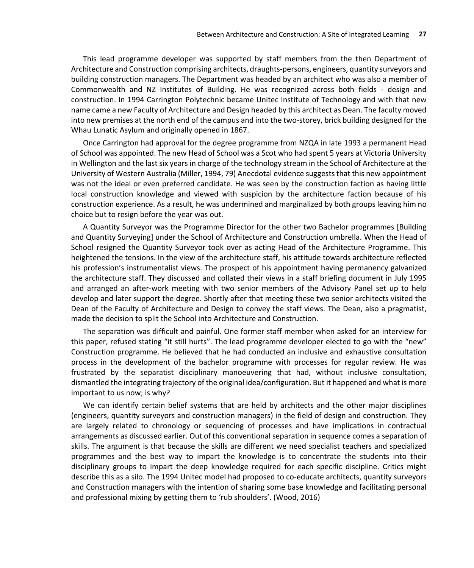This lead programme developer was supported by staff members from the then Department of Architecture and Construction comprising architects, draughts‐persons, engineers, quantity surveyors and building construction managers. The Department was headed by an architect who was also a member of Commonwealth and NZ Institutes of Building. He was recognized across both fields ‐ design and construction. In 1994 Carrington Polytechnic became Unitec Institute of Technology and with that new name came a new Faculty of Architecture and Design headed by this architect as Dean. The faculty moved into new premises at the north end of the campus and into the two‐storey, brick building designed for the Whau Lunatic Asylum and originally opened in 1867.

Once Carrington had approval for the degree programme from NZQA in late 1993 a permanent Head of School was appointed. The new Head of School was a Scot who had spent 5 years at Victoria University in Wellington and the last six years in charge of the technology stream in the School of Architecture at the University of Western Australia (Miller, 1994, 79) Anecdotal evidence suggests that this new appointment was not the ideal or even preferred candidate. He was seen by the construction faction as having little local construction knowledge and viewed with suspicion by the architecture faction because of his construction experience. As a result, he was undermined and marginalized by both groups leaving him no choice but to resign before the year was out.

A Quantity Surveyor was the Programme Director for the other two Bachelor programmes [Building and Quantity Surveying] under the School of Architecture and Construction umbrella. When the Head of School resigned the Quantity Surveyor took over as acting Head of the Architecture Programme. This heightened the tensions. In the view of the architecture staff, his attitude towards architecture reflected his profession's instrumentalist views. The prospect of his appointment having permanency galvanized the architecture staff. They discussed and collated their views in a staff briefing document in July 1995 and arranged an after-work meeting with two senior members of the Advisory Panel set up to help develop and later support the degree. Shortly after that meeting these two senior architects visited the Dean of the Faculty of Architecture and Design to convey the staff views. The Dean, also a pragmatist, made the decision to split the School into Architecture and Construction.

The separation was difficult and painful. One former staff member when asked for an interview for this paper, refused stating "it still hurts". The lead programme developer elected to go with the "new" Construction programme. He believed that he had conducted an inclusive and exhaustive consultation process in the development of the bachelor programme with processes for regular review. He was frustrated by the separatist disciplinary manoeuvering that had, without inclusive consultation, dismantled the integrating trajectory of the original idea/configuration. But it happened and what is more important to us now; is why?

We can identify certain belief systems that are held by architects and the other major disciplines (engineers, quantity surveyors and construction managers) in the field of design and construction. They are largely related to chronology or sequencing of processes and have implications in contractual arrangements as discussed earlier. Out of this conventional separation in sequence comes a separation of skills. The argument is that because the skills are different we need specialist teachers and specialized programmes and the best way to impart the knowledge is to concentrate the students into their disciplinary groups to impart the deep knowledge required for each specific discipline. Critics might describe this as a silo. The 1994 Unitec model had proposed to co-educate architects, quantity surveyors and Construction managers with the intention of sharing some base knowledge and facilitating personal and professional mixing by getting them to 'rub shoulders'. (Wood, 2016)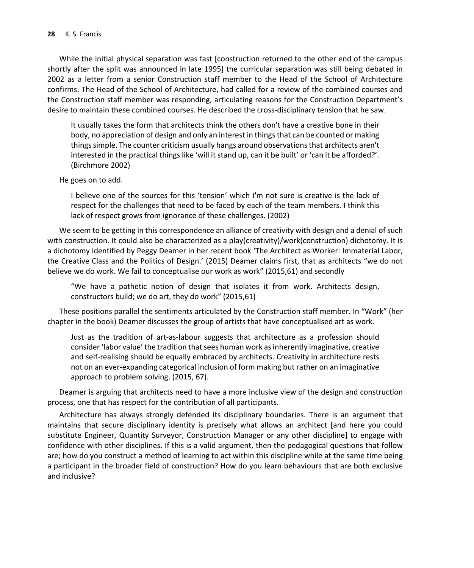While the initial physical separation was fast [construction returned to the other end of the campus shortly after the split was announced in late 1995] the curricular separation was still being debated in 2002 as a letter from a senior Construction staff member to the Head of the School of Architecture confirms. The Head of the School of Architecture, had called for a review of the combined courses and the Construction staff member was responding, articulating reasons for the Construction Department's desire to maintain these combined courses. He described the cross‐disciplinary tension that he saw.

It usually takes the form that architects think the others don't have a creative bone in their body, no appreciation of design and only an interest in things that can be counted or making things simple. The counter criticism usually hangs around observations that architects aren't interested in the practical things like 'will it stand up, can it be built' or 'can it be afforded?'. (Birchmore 2002)

He goes on to add.

I believe one of the sources for this 'tension' which I'm not sure is creative is the lack of respect for the challenges that need to be faced by each of the team members. I think this lack of respect grows from ignorance of these challenges. (2002)

We seem to be getting in this correspondence an alliance of creativity with design and a denial of such with construction. It could also be characterized as a play(creativity)/work(construction) dichotomy. It is a dichotomy identified by Peggy Deamer in her recent book 'The Architect as Worker: Immaterial Labor, the Creative Class and the Politics of Design.' (2015) Deamer claims first, that as architects "we do not believe we do work. We fail to conceptualise our work as work" (2015,61) and secondly

"We have a pathetic notion of design that isolates it from work. Architects design, constructors build; we do art, they do work" (2015,61)

These positions parallel the sentiments articulated by the Construction staff member. In "Work" (her chapter in the book) Deamer discusses the group of artists that have conceptualised art as work.

Just as the tradition of art‐as‐labour suggests that architecture as a profession should consider 'labor value' the tradition that sees human work as inherently imaginative, creative and self‐realising should be equally embraced by architects. Creativity in architecture rests not on an ever‐expanding categorical inclusion of form making but rather on an imaginative approach to problem solving. (2015, 67).

Deamer is arguing that architects need to have a more inclusive view of the design and construction process, one that has respect for the contribution of all participants.

Architecture has always strongly defended its disciplinary boundaries. There is an argument that maintains that secure disciplinary identity is precisely what allows an architect [and here you could substitute Engineer, Quantity Surveyor, Construction Manager or any other discipline] to engage with confidence with other disciplines. If this is a valid argument, then the pedagogical questions that follow are; how do you construct a method of learning to act within this discipline while at the same time being a participant in the broader field of construction? How do you learn behaviours that are both exclusive and inclusive?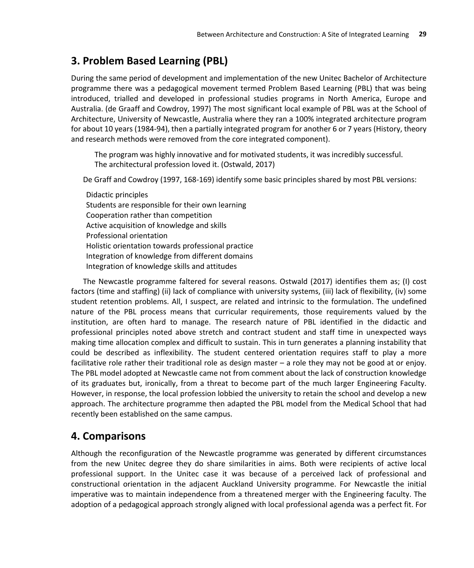## **3. Problem Based Learning (PBL)**

During the same period of development and implementation of the new Unitec Bachelor of Architecture programme there was a pedagogical movement termed Problem Based Learning (PBL) that was being introduced, trialled and developed in professional studies programs in North America, Europe and Australia. (de Graaff and Cowdroy, 1997) The most significant local example of PBL was at the School of Architecture, University of Newcastle, Australia where they ran a 100% integrated architecture program for about 10 years (1984‐94), then a partially integrated program for another 6 or 7 years (History, theory and research methods were removed from the core integrated component).

The program was highly innovative and for motivated students, it was incredibly successful. The architectural profession loved it. (Ostwald, 2017)

De Graff and Cowdroy (1997, 168‐169) identify some basic principles shared by most PBL versions:

Didactic principles Students are responsible for their own learning Cooperation rather than competition Active acquisition of knowledge and skills Professional orientation Holistic orientation towards professional practice Integration of knowledge from different domains Integration of knowledge skills and attitudes

The Newcastle programme faltered for several reasons. Ostwald (2017) identifies them as; (I) cost factors (time and staffing) (ii) lack of compliance with university systems, (iii) lack of flexibility, (iv) some student retention problems. All, I suspect, are related and intrinsic to the formulation. The undefined nature of the PBL process means that curricular requirements, those requirements valued by the institution, are often hard to manage. The research nature of PBL identified in the didactic and professional principles noted above stretch and contract student and staff time in unexpected ways making time allocation complex and difficult to sustain. This in turn generates a planning instability that could be described as inflexibility. The student centered orientation requires staff to play a more facilitative role rather their traditional role as design master – a role they may not be good at or enjoy. The PBL model adopted at Newcastle came not from comment about the lack of construction knowledge of its graduates but, ironically, from a threat to become part of the much larger Engineering Faculty. However, in response, the local profession lobbied the university to retain the school and develop a new approach. The architecture programme then adapted the PBL model from the Medical School that had recently been established on the same campus.

## **4. Comparisons**

Although the reconfiguration of the Newcastle programme was generated by different circumstances from the new Unitec degree they do share similarities in aims. Both were recipients of active local professional support. In the Unitec case it was because of a perceived lack of professional and constructional orientation in the adjacent Auckland University programme. For Newcastle the initial imperative was to maintain independence from a threatened merger with the Engineering faculty. The adoption of a pedagogical approach strongly aligned with local professional agenda was a perfect fit. For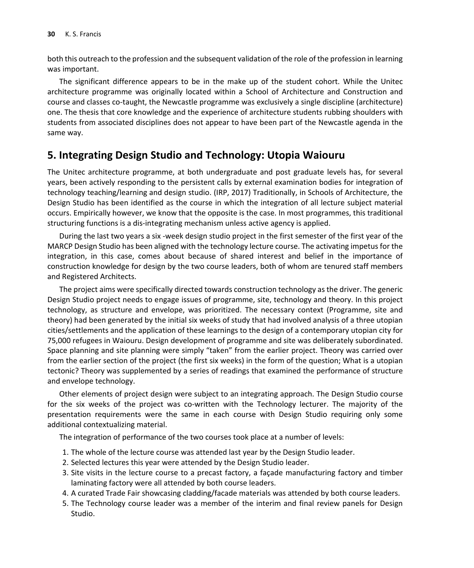both this outreach to the profession and the subsequent validation of the role of the profession in learning was important.

The significant difference appears to be in the make up of the student cohort. While the Unitec architecture programme was originally located within a School of Architecture and Construction and course and classes co‐taught, the Newcastle programme was exclusively a single discipline (architecture) one. The thesis that core knowledge and the experience of architecture students rubbing shoulders with students from associated disciplines does not appear to have been part of the Newcastle agenda in the same way.

### **5. Integrating Design Studio and Technology: Utopia Waiouru**

The Unitec architecture programme, at both undergraduate and post graduate levels has, for several years, been actively responding to the persistent calls by external examination bodies for integration of technology teaching/learning and design studio. (IRP, 2017) Traditionally, in Schools of Architecture, the Design Studio has been identified as the course in which the integration of all lecture subject material occurs. Empirically however, we know that the opposite is the case. In most programmes, this traditional structuring functions is a dis‐integrating mechanism unless active agency is applied.

During the last two years a six ‐week design studio project in the first semester of the first year of the MARCP Design Studio has been aligned with the technology lecture course. The activating impetus for the integration, in this case, comes about because of shared interest and belief in the importance of construction knowledge for design by the two course leaders, both of whom are tenured staff members and Registered Architects.

The project aims were specifically directed towards construction technology as the driver. The generic Design Studio project needs to engage issues of programme, site, technology and theory. In this project technology, as structure and envelope, was prioritized. The necessary context (Programme, site and theory) had been generated by the initial six weeks of study that had involved analysis of a three utopian cities/settlements and the application of these learnings to the design of a contemporary utopian city for 75,000 refugees in Waiouru. Design development of programme and site was deliberately subordinated. Space planning and site planning were simply "taken" from the earlier project. Theory was carried over from the earlier section of the project (the first six weeks) in the form of the question; What is a utopian tectonic? Theory was supplemented by a series of readings that examined the performance of structure and envelope technology.

Other elements of project design were subject to an integrating approach. The Design Studio course for the six weeks of the project was co-written with the Technology lecturer. The majority of the presentation requirements were the same in each course with Design Studio requiring only some additional contextualizing material.

The integration of performance of the two courses took place at a number of levels:

- 1. The whole of the lecture course was attended last year by the Design Studio leader.
- 2. Selected lectures this year were attended by the Design Studio leader.
- 3. Site visits in the lecture course to a precast factory, a façade manufacturing factory and timber laminating factory were all attended by both course leaders.
- 4. A curated Trade Fair showcasing cladding/facade materials was attended by both course leaders.
- 5. The Technology course leader was a member of the interim and final review panels for Design Studio.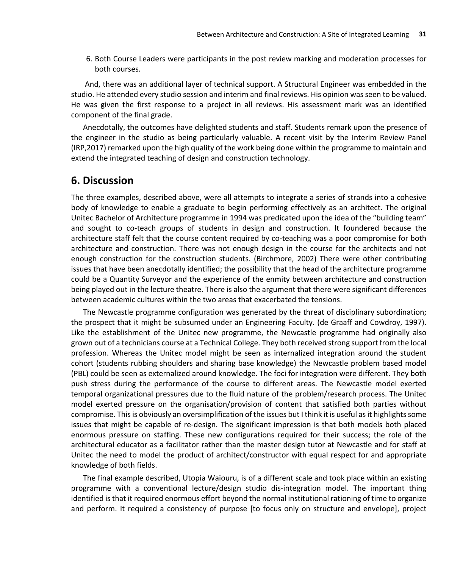6. Both Course Leaders were participants in the post review marking and moderation processes for both courses.

 And, there was an additional layer of technical support. A Structural Engineer was embedded in the studio. He attended every studio session and interim and final reviews. His opinion was seen to be valued. He was given the first response to a project in all reviews. His assessment mark was an identified component of the final grade.

Anecdotally, the outcomes have delighted students and staff. Students remark upon the presence of the engineer in the studio as being particularly valuable. A recent visit by the Interim Review Panel (IRP,2017) remarked upon the high quality of the work being done within the programme to maintain and extend the integrated teaching of design and construction technology.

#### **6. Discussion**

The three examples, described above, were all attempts to integrate a series of strands into a cohesive body of knowledge to enable a graduate to begin performing effectively as an architect. The original Unitec Bachelor of Architecture programme in 1994 was predicated upon the idea of the "building team" and sought to co-teach groups of students in design and construction. It foundered because the architecture staff felt that the course content required by co-teaching was a poor compromise for both architecture and construction. There was not enough design in the course for the architects and not enough construction for the construction students. (Birchmore, 2002) There were other contributing issues that have been anecdotally identified; the possibility that the head of the architecture programme could be a Quantity Surveyor and the experience of the enmity between architecture and construction being played out in the lecture theatre. There is also the argument that there were significant differences between academic cultures within the two areas that exacerbated the tensions.

The Newcastle programme configuration was generated by the threat of disciplinary subordination; the prospect that it might be subsumed under an Engineering Faculty. (de Graaff and Cowdroy, 1997). Like the establishment of the Unitec new programme, the Newcastle programme had originally also grown out of a technicians course at a Technical College. They both received strong support from the local profession. Whereas the Unitec model might be seen as internalized integration around the student cohort (students rubbing shoulders and sharing base knowledge) the Newcastle problem based model (PBL) could be seen as externalized around knowledge. The foci for integration were different. They both push stress during the performance of the course to different areas. The Newcastle model exerted temporal organizational pressures due to the fluid nature of the problem/research process. The Unitec model exerted pressure on the organisation/provision of content that satisfied both parties without compromise. This is obviously an oversimplification of the issues but I think it is useful as it highlights some issues that might be capable of re‐design. The significant impression is that both models both placed enormous pressure on staffing. These new configurations required for their success; the role of the architectural educator as a facilitator rather than the master design tutor at Newcastle and for staff at Unitec the need to model the product of architect/constructor with equal respect for and appropriate knowledge of both fields.

The final example described, Utopia Waiouru, is of a different scale and took place within an existing programme with a conventional lecture/design studio dis-integration model. The important thing identified is that it required enormous effort beyond the normal institutional rationing of time to organize and perform. It required a consistency of purpose [to focus only on structure and envelope], project